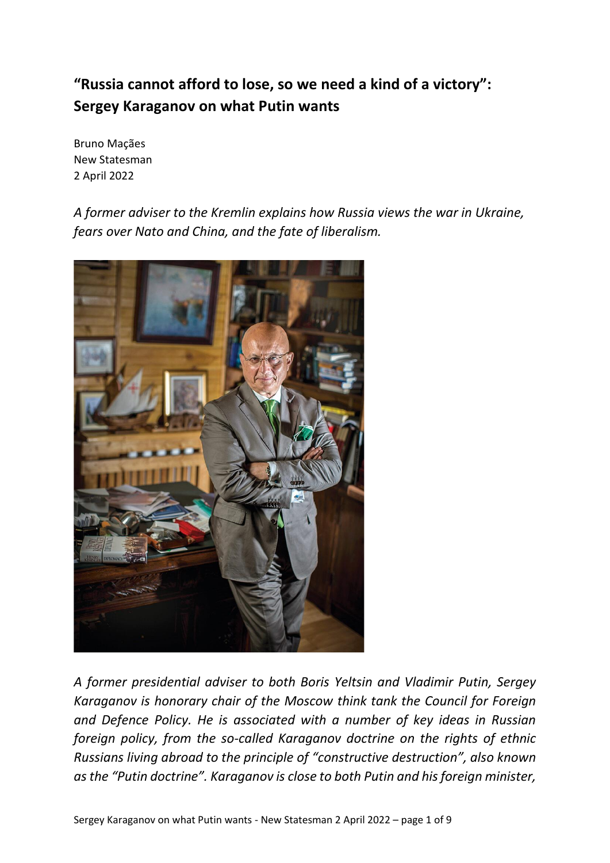# **"Russia cannot afford to lose, so we need a kind of a victory": Sergey Karaganov on what Putin wants**

Bruno Maçães New Statesman 2 April 2022

*A former adviser to the Kremlin explains how Russia views the war in Ukraine, fears over Nato and China, and the fate of liberalism.*



*A former presidential adviser to both Boris Yeltsin and Vladimir Putin, Sergey Karaganov is honorary chair of the Moscow think tank the Council for Foreign and Defence Policy. He is associated with a number of key ideas in Russian foreign policy, from the so-called Karaganov doctrine on the rights of ethnic Russians living abroad to the principle of "constructive destruction", also known as the "Putin doctrine". Karaganov is close to both Putin and his foreign minister,*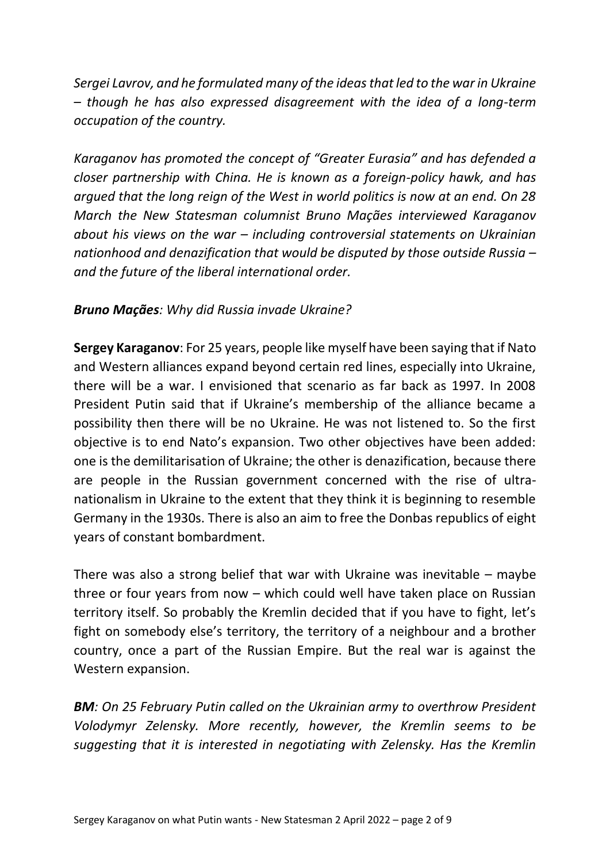*Sergei Lavrov, and he formulated many of the ideas that led to the war in Ukraine – though he has also expressed disagreement with the idea of a long-term occupation of the country.*

*Karaganov has promoted the concept of "Greater Eurasia" and has defended a closer partnership with China. He is known as a foreign-policy hawk, and has argued that the long reign of the West in world politics is now at an end. On 28 March the New Statesman columnist Bruno Maçães interviewed Karaganov about his views on the war – including controversial statements on Ukrainian nationhood and denazification that would be disputed by those outside Russia – and the future of the liberal international order.*

#### *Bruno Maçães: Why did Russia invade Ukraine?*

**Sergey Karaganov**: For 25 years, people like myself have been saying that if Nato and Western alliances expand beyond certain red lines, especially into Ukraine, there will be a war. I envisioned that scenario as far back as 1997. In 2008 President Putin said that if Ukraine's membership of the alliance became a possibility then there will be no Ukraine. He was not listened to. So the first objective is to end Nato's expansion. Two other objectives have been added: one is the demilitarisation of Ukraine; the other is denazification, because there are people in the Russian government concerned with the rise of ultranationalism in Ukraine to the extent that they think it is beginning to resemble Germany in the 1930s. There is also an aim to free the Donbas republics of eight years of constant bombardment.

There was also a strong belief that war with Ukraine was inevitable – maybe three or four years from now – which could well have taken place on Russian territory itself. So probably the Kremlin decided that if you have to fight, let's fight on somebody else's territory, the territory of a neighbour and a brother country, once a part of the Russian Empire. But the real war is against the Western expansion.

*BM: On 25 February Putin called on the Ukrainian army to overthrow President Volodymyr Zelensky. More recently, however, the Kremlin seems to be suggesting that it is interested in negotiating with Zelensky. Has the Kremlin*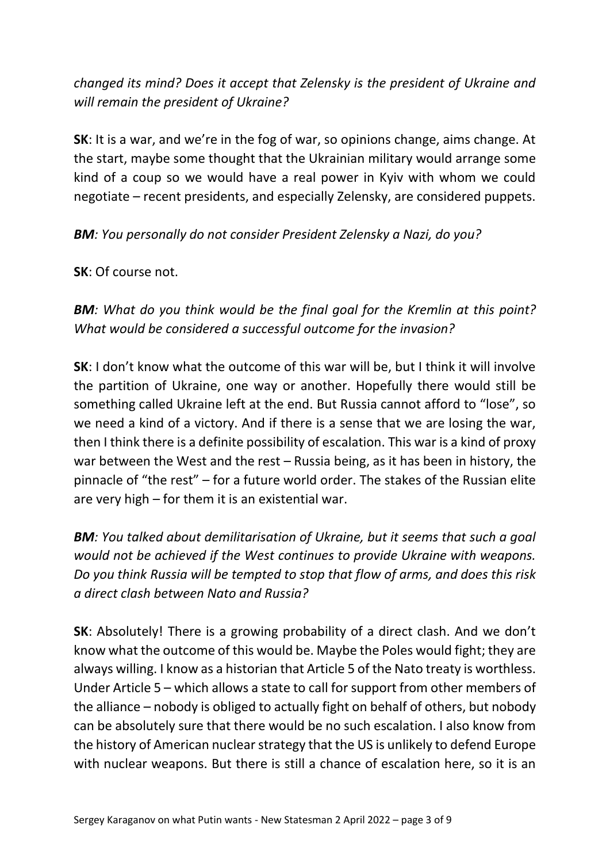# *changed its mind? Does it accept that Zelensky is the president of Ukraine and will remain the president of Ukraine?*

**SK**: It is a war, and we're in the fog of war, so opinions change, aims change. At the start, maybe some thought that the Ukrainian military would arrange some kind of a coup so we would have a real power in Kyiv with whom we could negotiate – recent presidents, and especially Zelensky, are considered puppets.

## *BM: You personally do not consider President Zelensky a Nazi, do you?*

**SK**: Of course not.

*BM: What do you think would be the final goal for the Kremlin at this point? What would be considered a successful outcome for the invasion?*

**SK**: I don't know what the outcome of this war will be, but I think it will involve the partition of Ukraine, one way or another. Hopefully there would still be something called Ukraine left at the end. But Russia cannot afford to "lose", so we need a kind of a victory. And if there is a sense that we are losing the war, then I think there is a definite possibility of escalation. This war is a kind of proxy war between the West and the rest – Russia being, as it has been in history, the pinnacle of "the rest" – for a future world order. The stakes of the Russian elite are very high – for them it is an existential war.

*BM: You talked about demilitarisation of Ukraine, but it seems that such a goal would not be achieved if the West continues to provide Ukraine with weapons. Do you think Russia will be tempted to stop that flow of arms, and does this risk a direct clash between Nato and Russia?*

**SK**: Absolutely! There is a growing probability of a direct clash. And we don't know what the outcome of this would be. Maybe the Poles would fight; they are always willing. I know as a historian that Article 5 of the Nato treaty is worthless. Under Article 5 – which allows a state to call for support from other members of the alliance – nobody is obliged to actually fight on behalf of others, but nobody can be absolutely sure that there would be no such escalation. I also know from the history of American nuclear strategy that the US is unlikely to defend Europe with nuclear weapons. But there is still a chance of escalation here, so it is an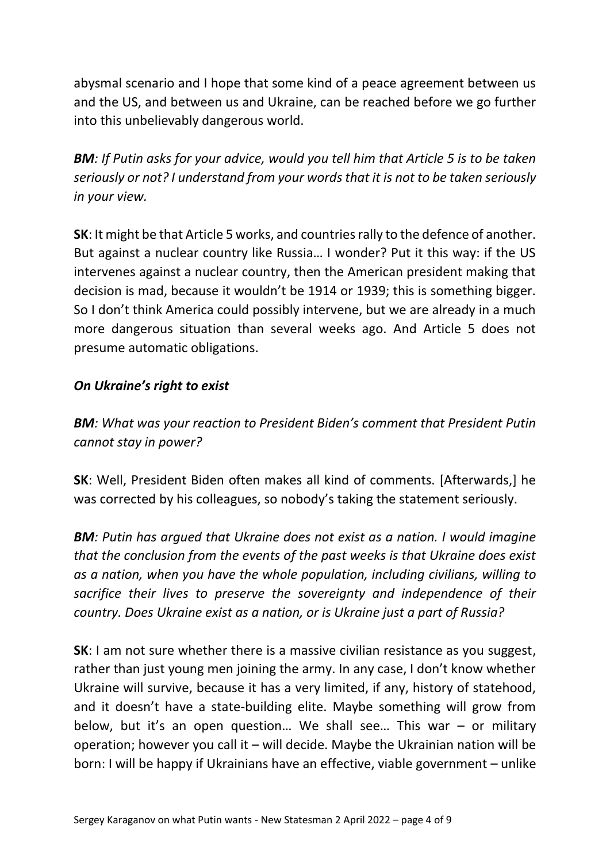abysmal scenario and I hope that some kind of a peace agreement between us and the US, and between us and Ukraine, can be reached before we go further into this unbelievably dangerous world.

*BM: If Putin asks for your advice, would you tell him that Article 5 is to be taken seriously or not? I understand from your words that it is not to be taken seriously in your view.*

**SK**: It might be that Article 5 works, and countries rally to the defence of another. But against a nuclear country like Russia… I wonder? Put it this way: if the US intervenes against a nuclear country, then the American president making that decision is mad, because it wouldn't be 1914 or 1939; this is something bigger. So I don't think America could possibly intervene, but we are already in a much more dangerous situation than several weeks ago. And Article 5 does not presume automatic obligations.

## *On Ukraine's right to exist*

*BM: What was your reaction to President Biden's comment that President Putin cannot stay in power?*

**SK**: Well, President Biden often makes all kind of comments. [Afterwards,] he was corrected by his colleagues, so nobody's taking the statement seriously.

*BM: Putin has argued that Ukraine does not exist as a nation. I would imagine that the conclusion from the events of the past weeks is that Ukraine does exist as a nation, when you have the whole population, including civilians, willing to sacrifice their lives to preserve the sovereignty and independence of their country. Does Ukraine exist as a nation, or is Ukraine just a part of Russia?*

**SK**: I am not sure whether there is a massive civilian resistance as you suggest, rather than just young men joining the army. In any case, I don't know whether Ukraine will survive, because it has a very limited, if any, history of statehood, and it doesn't have a state-building elite. Maybe something will grow from below, but it's an open question… We shall see… This war – or military operation; however you call it – will decide. Maybe the Ukrainian nation will be born: I will be happy if Ukrainians have an effective, viable government – unlike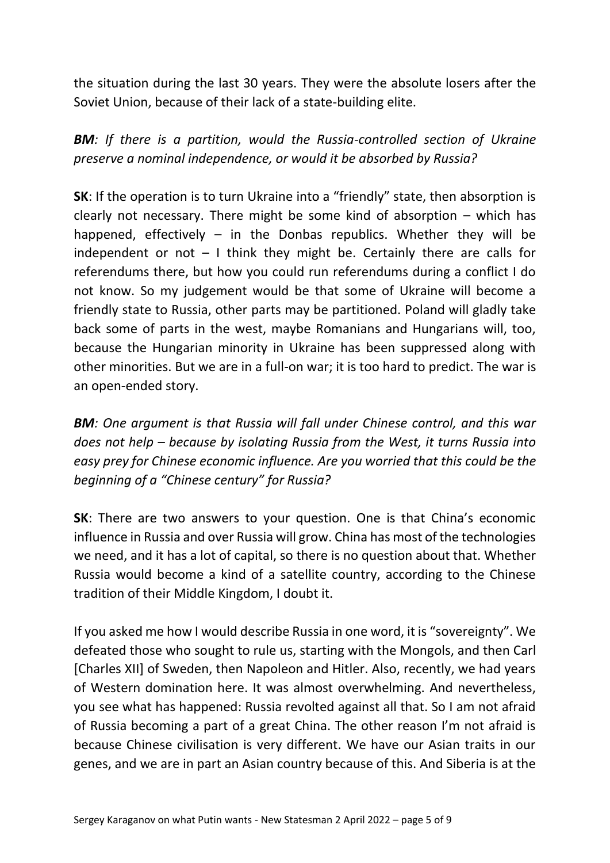the situation during the last 30 years. They were the absolute losers after the Soviet Union, because of their lack of a state-building elite.

**BM**: If there is a partition, would the Russia-controlled section of Ukraine *preserve a nominal independence, or would it be absorbed by Russia?*

**SK**: If the operation is to turn Ukraine into a "friendly" state, then absorption is clearly not necessary. There might be some kind of absorption – which has happened, effectively  $-$  in the Donbas republics. Whether they will be independent or not  $-1$  think they might be. Certainly there are calls for referendums there, but how you could run referendums during a conflict I do not know. So my judgement would be that some of Ukraine will become a friendly state to Russia, other parts may be partitioned. Poland will gladly take back some of parts in the west, maybe Romanians and Hungarians will, too, because the Hungarian minority in Ukraine has been suppressed along with other minorities. But we are in a full-on war; it is too hard to predict. The war is an open-ended story.

*BM: One argument is that Russia will fall under Chinese control, and this war does not help – because by isolating Russia from the West, it turns Russia into easy prey for Chinese economic influence. Are you worried that this could be the beginning of a "Chinese century" for Russia?*

**SK:** There are two answers to your question. One is that China's economic influence in Russia and over Russia will grow. China has most of the technologies we need, and it has a lot of capital, so there is no question about that. Whether Russia would become a kind of a satellite country, according to the Chinese tradition of their Middle Kingdom, I doubt it.

If you asked me how I would describe Russia in one word, it is "sovereignty". We defeated those who sought to rule us, starting with the Mongols, and then Carl [Charles XII] of Sweden, then Napoleon and Hitler. Also, recently, we had years of Western domination here. It was almost overwhelming. And nevertheless, you see what has happened: Russia revolted against all that. So I am not afraid of Russia becoming a part of a great China. The other reason I'm not afraid is because Chinese civilisation is very different. We have our Asian traits in our genes, and we are in part an Asian country because of this. And Siberia is at the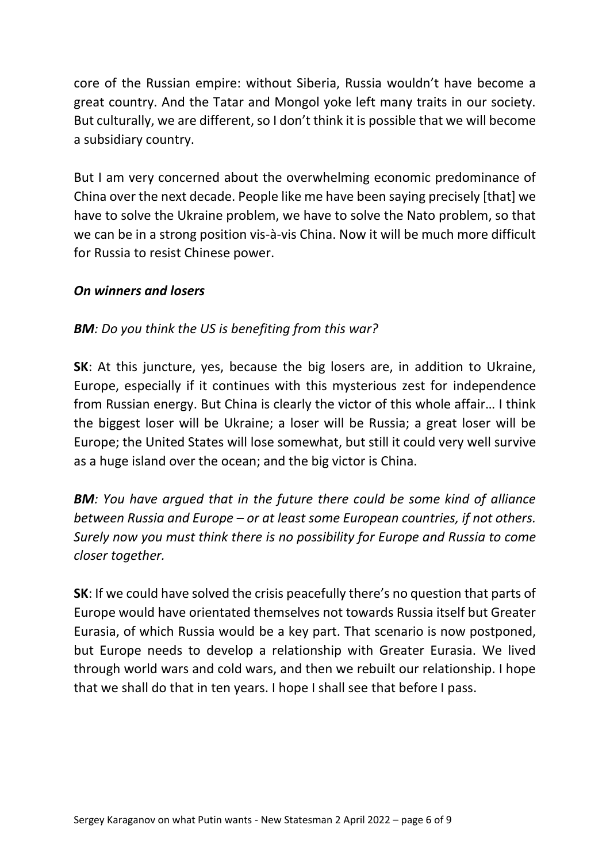core of the Russian empire: without Siberia, Russia wouldn't have become a great country. And the Tatar and Mongol yoke left many traits in our society. But culturally, we are different, so I don't think it is possible that we will become a subsidiary country.

But I am very concerned about the overwhelming economic predominance of China over the next decade. People like me have been saying precisely [that] we have to solve the Ukraine problem, we have to solve the Nato problem, so that we can be in a strong position vis-à-vis China. Now it will be much more difficult for Russia to resist Chinese power.

#### *On winners and losers*

## *BM: Do you think the US is benefiting from this war?*

**SK**: At this juncture, yes, because the big losers are, in addition to Ukraine, Europe, especially if it continues with this mysterious zest for independence from Russian energy. But China is clearly the victor of this whole affair… I think the biggest loser will be Ukraine; a loser will be Russia; a great loser will be Europe; the United States will lose somewhat, but still it could very well survive as a huge island over the ocean; and the big victor is China.

*BM: You have argued that in the future there could be some kind of alliance between Russia and Europe – or at least some European countries, if not others. Surely now you must think there is no possibility for Europe and Russia to come closer together.*

**SK**: If we could have solved the crisis peacefully there's no question that parts of Europe would have orientated themselves not towards Russia itself but Greater Eurasia, of which Russia would be a key part. That scenario is now postponed, but Europe needs to develop a relationship with Greater Eurasia. We lived through world wars and cold wars, and then we rebuilt our relationship. I hope that we shall do that in ten years. I hope I shall see that before I pass.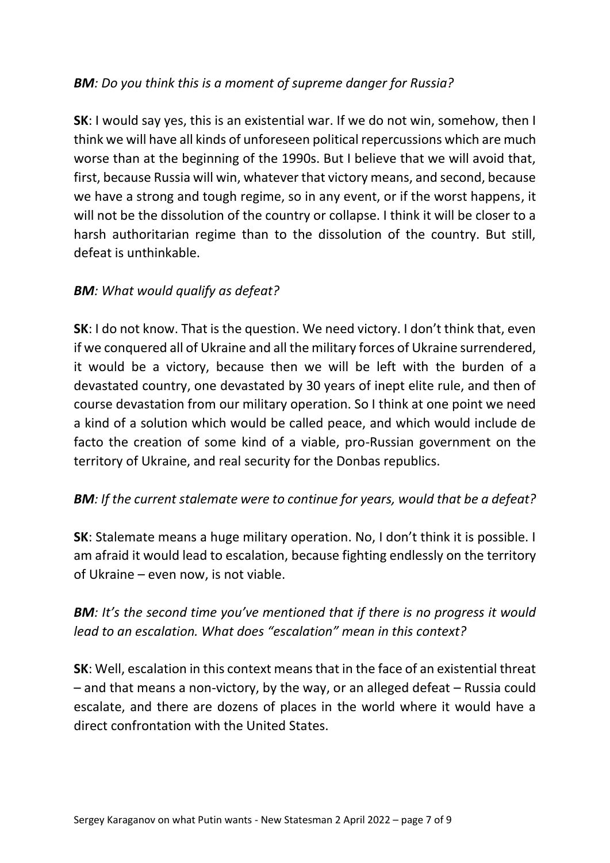# *BM: Do you think this is a moment of supreme danger for Russia?*

**SK**: I would say yes, this is an existential war. If we do not win, somehow, then I think we will have all kinds of unforeseen political repercussions which are much worse than at the beginning of the 1990s. But I believe that we will avoid that, first, because Russia will win, whatever that victory means, and second, because we have a strong and tough regime, so in any event, or if the worst happens, it will not be the dissolution of the country or collapse. I think it will be closer to a harsh authoritarian regime than to the dissolution of the country. But still, defeat is unthinkable.

## *BM: What would qualify as defeat?*

**SK**: I do not know. That is the question. We need victory. I don't think that, even if we conquered all of Ukraine and all the military forces of Ukraine surrendered, it would be a victory, because then we will be left with the burden of a devastated country, one devastated by 30 years of inept elite rule, and then of course devastation from our military operation. So I think at one point we need a kind of a solution which would be called peace, and which would include de facto the creation of some kind of a viable, pro-Russian government on the territory of Ukraine, and real security for the Donbas republics.

#### *BM: If the current stalemate were to continue for years, would that be a defeat?*

**SK**: Stalemate means a huge military operation. No, I don't think it is possible. I am afraid it would lead to escalation, because fighting endlessly on the territory of Ukraine – even now, is not viable.

# *BM: It's the second time you've mentioned that if there is no progress it would lead to an escalation. What does "escalation" mean in this context?*

**SK**: Well, escalation in this context means that in the face of an existential threat – and that means a non-victory, by the way, or an alleged defeat – Russia could escalate, and there are dozens of places in the world where it would have a direct confrontation with the United States.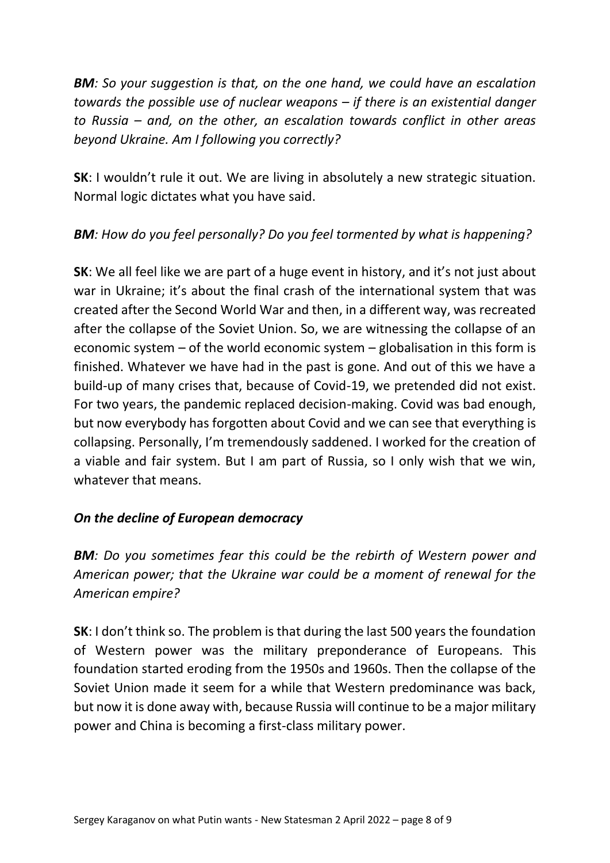*BM: So your suggestion is that, on the one hand, we could have an escalation towards the possible use of nuclear weapons – if there is an existential danger to Russia – and, on the other, an escalation towards conflict in other areas beyond Ukraine. Am I following you correctly?*

**SK**: I wouldn't rule it out. We are living in absolutely a new strategic situation. Normal logic dictates what you have said.

# *BM: How do you feel personally? Do you feel tormented by what is happening?*

**SK:** We all feel like we are part of a huge event in history, and it's not just about war in Ukraine; it's about the final crash of the international system that was created after the Second World War and then, in a different way, was recreated after the collapse of the Soviet Union. So, we are witnessing the collapse of an economic system – of the world economic system – globalisation in this form is finished. Whatever we have had in the past is gone. And out of this we have a build-up of many crises that, because of Covid-19, we pretended did not exist. For two years, the pandemic replaced decision-making. Covid was bad enough, but now everybody has forgotten about Covid and we can see that everything is collapsing. Personally, I'm tremendously saddened. I worked for the creation of a viable and fair system. But I am part of Russia, so I only wish that we win, whatever that means.

# *On the decline of European democracy*

*BM: Do you sometimes fear this could be the rebirth of Western power and American power; that the Ukraine war could be a moment of renewal for the American empire?*

**SK**: I don't think so. The problem is that during the last 500 years the foundation of Western power was the military preponderance of Europeans. This foundation started eroding from the 1950s and 1960s. Then the collapse of the Soviet Union made it seem for a while that Western predominance was back, but now it is done away with, because Russia will continue to be a major military power and China is becoming a first-class military power.